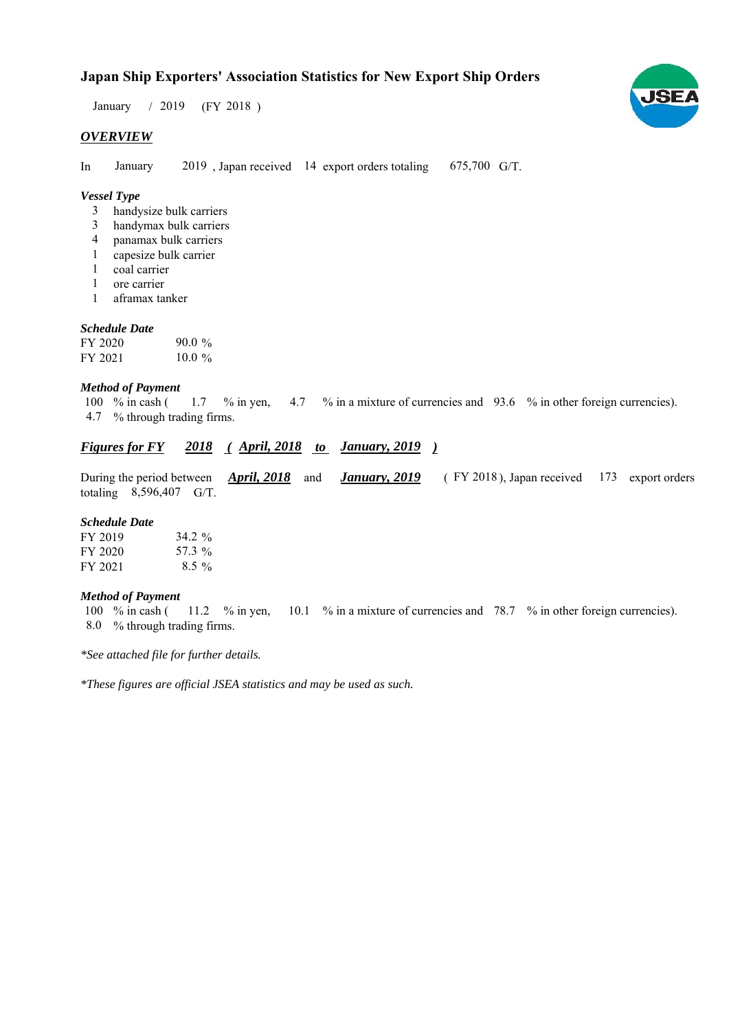# **Japan Ship Exporters' Association Statistics for New Export Ship Orders**

 $/ 2019$  (FY 2018) January / 2019

## *OVERVIEW*

In January 2019, Japan received 14 export orders totaling 675,700 G/T. January

## *Vessel Type*

- handysize bulk carriers 3
- handymax bulk carriers 3
- panamax bulk carriers 4
- capesize bulk carrier 1
- coal carrier 1
- ore carrier 1
- aframax tanker 1

## *Schedule Date*

| FY 2020 | $90.0 \%$ |
|---------|-----------|
| FY 2021 | $10.0 \%$ |

#### *Method of Payment*

% in cash ( $1.7$  % in yen,  $4.7$  % in a mixture of currencies and  $93.6$  % in other foreign currencies). % through trading firms. 4.7 100 % in cash ( 1.7  $%$  in yen,

## *Figures for FY* 2018 (*April, 2018 to January, 2019*)

During the period between *April, 2018* and *January, 2019* (FY 2018), Japan received 173 export orders totaling  $8,596,407$  G/T. *January, 2019* FY 2018), Japan received 173

#### *Schedule Date*

| FY 2019 | 34.2 $\%$ |
|---------|-----------|
| FY 2020 | 57.3 %    |
| FY 2021 | $8.5\%$   |

#### *Method of Payment*

% in cash ( $\frac{11.2}{8}$  % in yen,  $\frac{10.1}{8}$  % in a mixture of currencies and 78.7 % in other foreign currencies). % through trading firms. 8.0 100  $%$  in cash (

*\*See attached file for further details.*

*\*These figures are official JSEA statistics and may be used as such.*

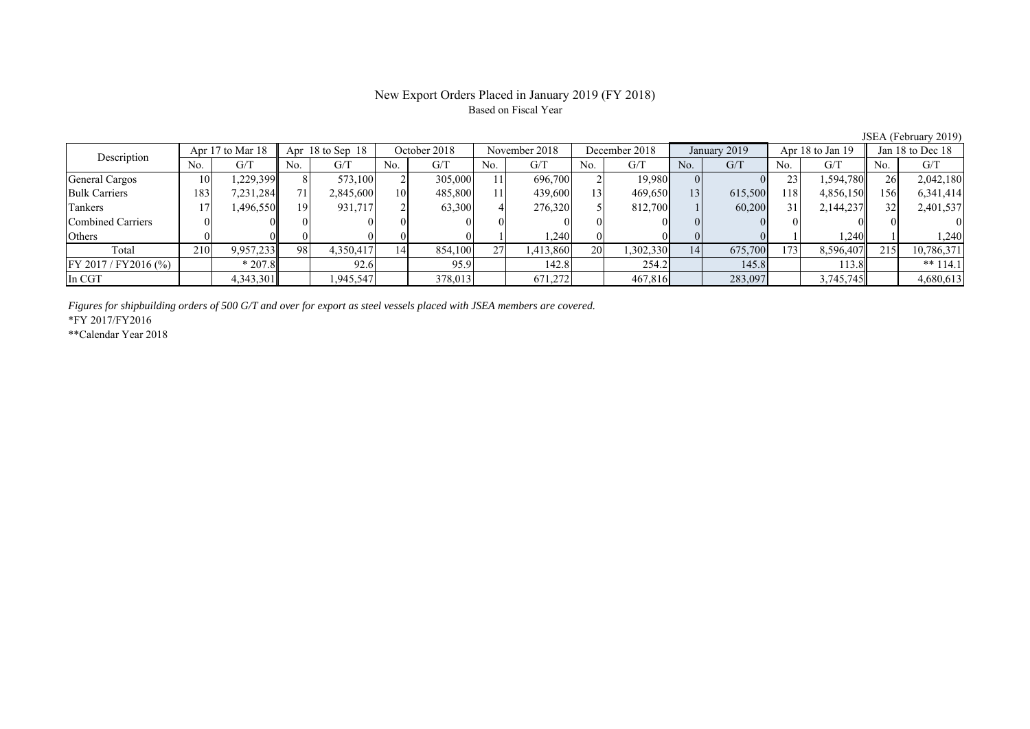#### New Export Orders Placed in January 2019 (FY 2018) Based on Fiscal Year

No. G/T No. G/T No. G/T No. G/T No. G/T No. G/T No. G/T No. G/T General Cargos ( 10 1,229,399 8 573,100 2 305,000 11 696,700 2 19,980 0 0 23 1,594,780 26 2,042,180 Bulk Carriers 183 7,231,284 71 2,845,600 10 485,800 11 439,600 13 469,650 13 615,500 118 4,856,150 156 6,341,414 Tankers | 17 1,496,550 19 931,717 2 63,300 4 276,320 5 812,700 1 60,200 31 2,144,237 32 2,401,537 Combined Carriers 0 0 0 0 0 0 0 0 0 0 0 0 0 0 0 0 Others ( 0 0 0 0 0 0 0 0 1 1,240 0 0 0 0 1 1,240 1 1,240 Total 210 9,957,233 98 4,350,417 14 854,100 27 1,413,860 20 1,302,330 14 675,700 173 8,596,407 215 10,786,371 FY 2017/FY2016 (%) \* 207.8 92.6 95.9 142.8 254.2 145.8 113.8 \*\* 114.1 In CGT | | 4,343,301| | 1,945,547| | 378,013| | 671,272| | 467,816| | 283,097| | 3,745,745|| | 4,680,613 Apr 17 to Mar 18 Apr 18 to Sep 18 October 2018 November 2018 December 2018 January 2019 Apr 18 to Jan 19 Jan 18 to Dec 18 Description

*Figures for shipbuilding orders of 500 G/T and over for export as steel vessels placed with JSEA members are covered.*

\*FY 2017/FY2016

\*\*Calendar Year 2018

JSEA (February 2019)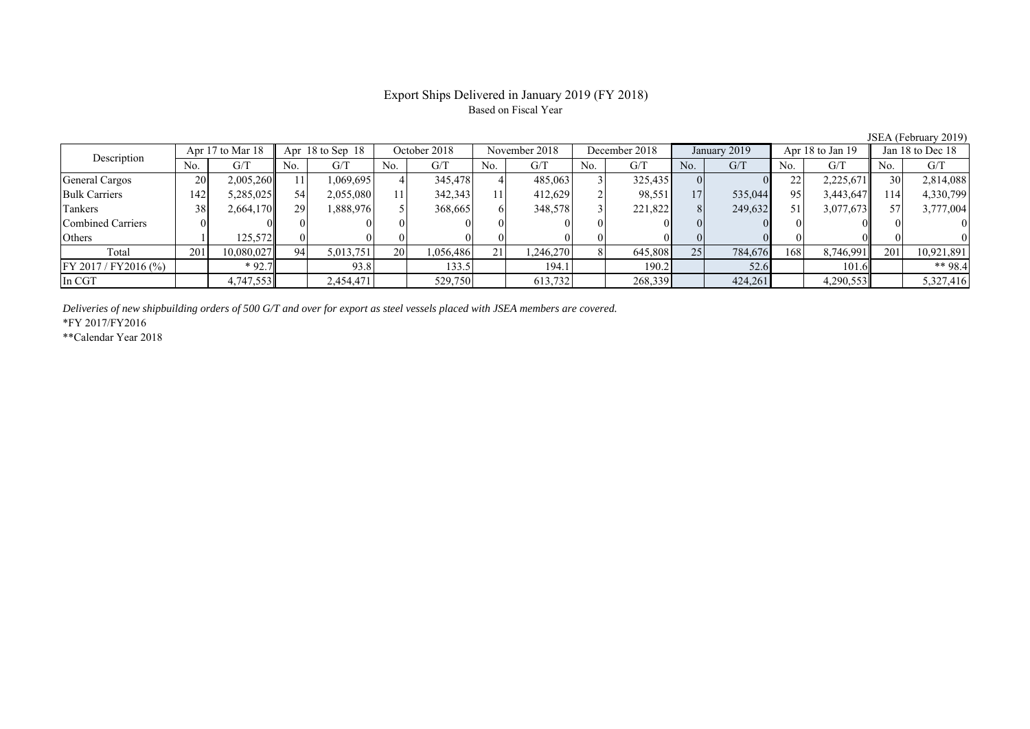## Export Ships Delivered in January 2019 (FY 2018) Based on Fiscal Year

| $100 - 111 - 1100 - 1100 - 1100 - 1100 - 1100 - 1100 - 1100 - 1100 - 1100 - 1100 - 1100 - 1100 - 1100 - 1100 - 1100 - 1100 - 1100 - 1100 - 1100 - 1100 - 1100 - 1100 - 1100 - 1100 - 1100 - 1100 - 1100 - 1100 - 1100 - 1100 - 1100 - 1100 - 1100 - 1100 - 1100 - $ |     |                  |     |                      |     |              |     |               |     |               |     |              |     |                  |     |                  |  |
|---------------------------------------------------------------------------------------------------------------------------------------------------------------------------------------------------------------------------------------------------------------------|-----|------------------|-----|----------------------|-----|--------------|-----|---------------|-----|---------------|-----|--------------|-----|------------------|-----|------------------|--|
| Description                                                                                                                                                                                                                                                         |     | Apr 17 to Mar 18 |     | Apr $18$ to Sep $18$ |     | October 2018 |     | November 2018 |     | December 2018 |     | January 2019 |     | Apr 18 to Jan 19 |     | Jan 18 to Dec 18 |  |
|                                                                                                                                                                                                                                                                     | No. | G/T              | No. | G/T                  | No. | G/T          | No. | G/T           | No. | G/T           | No. | G/T          | No. | G/T              | No. | G/T              |  |
| General Cargos                                                                                                                                                                                                                                                      | 20  | 2,005,260        |     | 1,069,695            |     | 345,478      |     | 485,063       |     | 325,435       |     |              | 22  | 2,225,671        | 30  | 2,814,088        |  |
| <b>Bulk Carriers</b>                                                                                                                                                                                                                                                | 142 | 5,285,025        | 54  | 2,055,080            |     | 342,343      | 11  | 412.629       |     | 98,551        | 17  | 535,044      | 95  | 3,443,647        | 114 | 4,330,799        |  |
| Tankers                                                                                                                                                                                                                                                             | 38  | 2,664,170        | 29  | 1,888,976            |     | 368,665      |     | 348,578       |     | 221,822       |     | 249,632      | 51  | 3,077,673        |     | 3,777,004        |  |
| Combined Carriers                                                                                                                                                                                                                                                   |     |                  |     |                      |     |              |     |               |     |               |     |              |     |                  |     |                  |  |
| Others                                                                                                                                                                                                                                                              |     | 125.5721         |     |                      |     |              |     |               |     |               |     |              |     |                  |     |                  |  |
| Total                                                                                                                                                                                                                                                               | 201 | 10,080,027       | 94  | 5,013,751            | 20  | 1,056,486    | 21  | .246.270      |     | 645,808       | 25  | 784,676      | 168 | 8,746,991        | 201 | 10,921,891       |  |
| $FY 2017 / FY 2016$ (%)                                                                                                                                                                                                                                             |     | $*92.7$          |     | 93.8                 |     | 133.5        |     | 194.1         |     | 190.2         |     | 52.6         |     | 101.6            |     | ** $98.4$        |  |
| In CGT                                                                                                                                                                                                                                                              |     | 4,747,553        |     | 2,454,471            |     | 529,750      |     | 613,732       |     | 268,339       |     | 424,261      |     | 4,290,553        |     | 5,327,416        |  |

*Deliveries of new shipbuilding orders of 500 G/T and over for export as steel vessels placed with JSEA members are covered.*

\*FY 2017/FY2016

\*\*Calendar Year 2018

JSEA (February 2019)